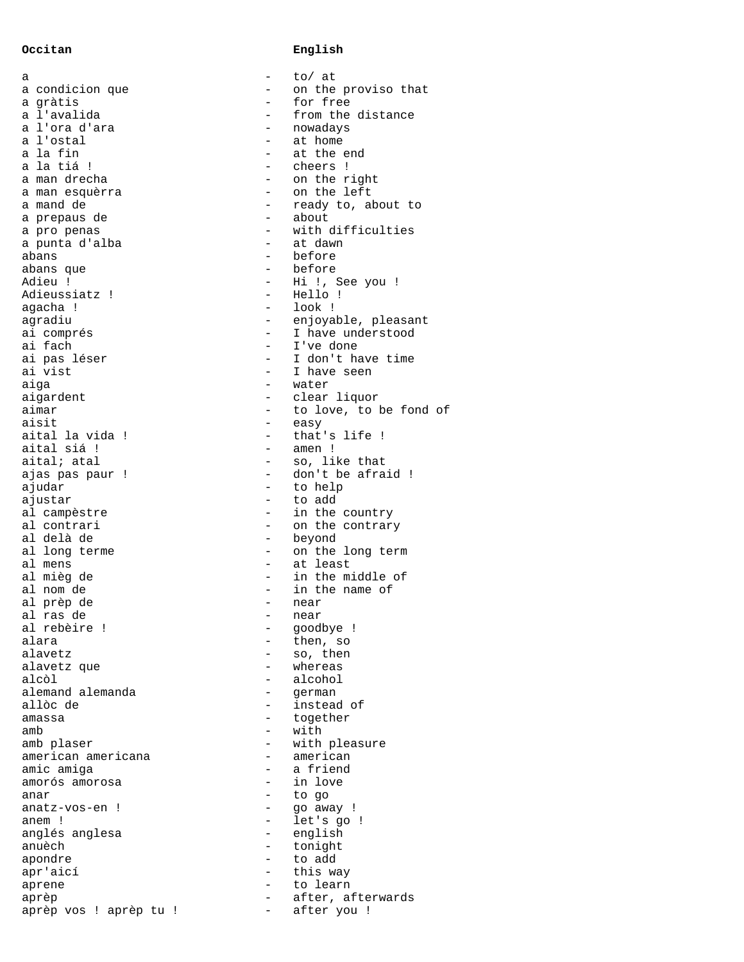a  $-$  to/ at a condicion que  $\qquad \qquad -$  on the proviso that a gràtis - for free a l'ora d'ara - nova - nova d'ara - nova - nova - nova - nova - nova - nova - nova - nova - nova - nova - nova - nova - nova - nova - nova - nova - nova - nova - nova - nova - nova - nova - nova - nova - nova - nova - nova a l'ostal - at home a la tiá ! - cheers ! a man esquèrra a mand de  $-$  ready to, about to a prepaus de  $-$  about a pro penas  $\overline{\phantom{a}}$  - with difficulties a punta d'alba  $\qquad \qquad$  - at dawn abans - before <br>abans que - before - before abans que  $-$ Adieu ! - Hi !, See you !<br>Adieussiatz ! - Hello ! Adieussiatz ! - Hello egacha ! - Hello ... agacha ! - look is agradiu agradiu - enjoyable, pleasant<br>ai comprés - - - - - - - - I have understood ai comprés - I have understood ai fach - I've done ai vist  $-$  I have seen aiga - water aigardent - clear liquor aimar  $-$  to love, to be fond of aisit - easy aital la vida ! - that's life !<br>aital siá ! - amen ! aital siá !  $a$ ital; atal  $\qquad \qquad$  - so, like that ajas pas paur ! - don't be afraid ! ajustar - to add al contrari  $\qquad \qquad -$  on the contrary al delà de al delà de  $$ al long terme  $\qquad \qquad -$  on the long term al mens  $-$  at least al mièg de  $\overline{a}$  - in the middle of al nom de  $-$  in the name of al prèp de - near al ras de - near al rebèire ! - goodbye ! alara - then, so<br>alavetz - so, then alavetz que - whereas alemand alemanda - german allòc de  $-$  instead of amassa - together amb - with amb plaser  $-$  with pleasure american americana  $-$  american american americana - american amic amiga and the set of the set of the set of the set of the set of the set of the set of the set of the set o amorós amorosa - in love anar - to go  $anatz-vos-en$  !  $-$ <br> $anem$  !  $$ anglés anglesa<br>anuèch apondre en entre la condre de la condre de la condre de la condre de la condre de la condre de la condre de la apr'aicí - this way aprene - to learn aprèp  $\overline{\phantom{a}}$  - after, afterwards aprèp vos ! aprèp tu ! - after you !

## **Occitan English**

from the distance<br>nowadays at the end<br>cheers ! - on the right<br>- on the left I don't have time - to help<br>- to add in the country - so, then<br>- whereas alcohol<br>german - let's go !<br>- english - tonight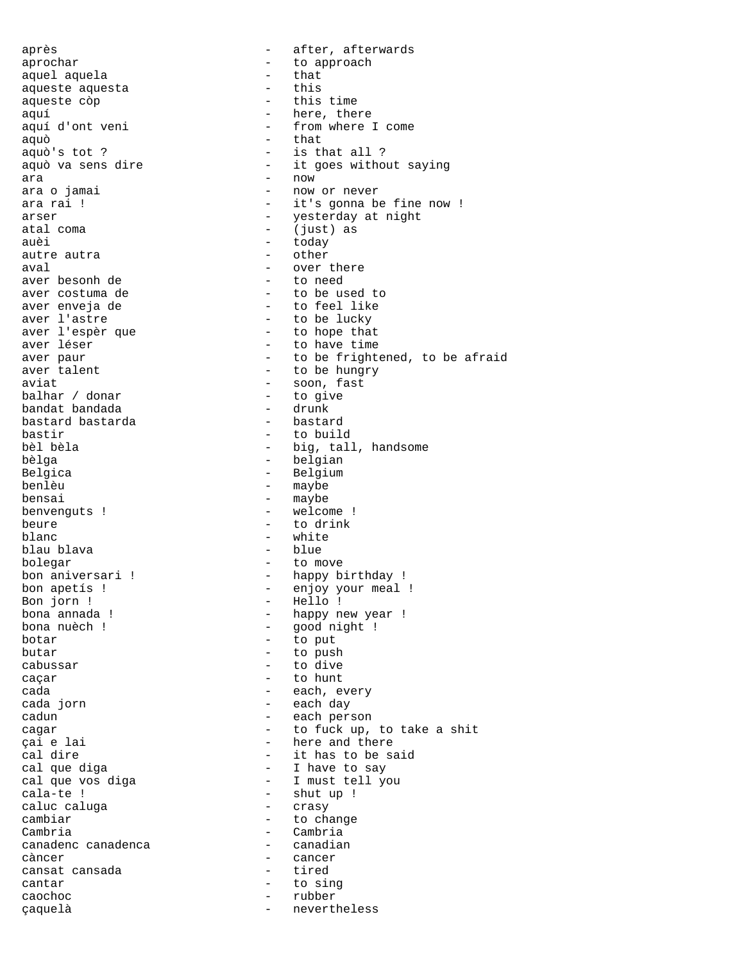après - after, afterwards aprochar - to approach aquel aquela - that aqueste aquesta aqueste còp  $\overline{\phantom{a}}$  - this time aquí - here, there<br>aquí d'ont veni - from where - from where I come aquò - that - is that all ? aquò va sens dire  $-$  it goes without saying ara<br>ara - now<br>ara o jamai - now - now or never ara rai !  $-$  it's gonna be fine now ! arser - yesterday at night atal coma - (just) as auèi - today autre autra aval - over there aver besonh de<br>aver costuma de aver costuma de  $\begin{array}{ccc} - & + & + \end{array}$  to be used to aver enveja de  $\begin{array}{ccc} - & + \end{array}$  to feel like aver enveja de - to feel like aver l'astre<br>
aver l'espèr que  $\overline{a}$  - to be lucky<br>
- to hope that aver l'espèr que  $\begin{array}{ccc} - & + & + \end{array}$  to hope that aver léser aver léser - to have time aver paur  $-$  to be frightened, to be afraid aver talent - to be hungry aviat - soon, fast balhar / donar - to give bandat bandada - drunk bastard bastarda<br>bastir bastir - to build bèl bèla  $\qquad \qquad$  - big, tall, handsome bèlga bèlga - belgian - Belgium benlèu - maybe bensai - maybe benvenguts !  $-$  welcome ! beure  $\overline{\phantom{a}}$  to drink blanc - white blau blava bolegar - to move<br>bon aniversari ! - happy b - happy birthday ! bon apetís ! - enjoy your meal !<br>Bon jorn ! - Hello ! Bon jorn ! - Hello !<br>bona annada ! - happy n bona annada ! - happy new year ! bona nuèch ! - good night !<br>botar - to put - to put butar - to push - to dive caçar  $\qquad$  - to hunt cada - each, every cada jorn  $\qquad \qquad$  - each day cadun - each person cagar - to fuck up, to take a shit<br>
cai e lai - here and there <sup>c</sup>ai e lai - here and there<br>cal dire - it has to be sa cal dire<br>
cal que diga
entical cal que diga
entical cal que diga
entical cal que diga
entical cal que diga
entical cal que diga cal que diga - I have to say cal que vos diga<br>
cala-te ! - Shut up ! - shut up !<br>- crasy caluc caluga cambiar - to change Cambria<br>Canadenc canadenca canadian - canadian canadenc canadenca càncer - cancer cansat cansada cantar - to sing caochoc - rubber<br>caouelà - rubber<br>- nevert! çaquelà - nevertheless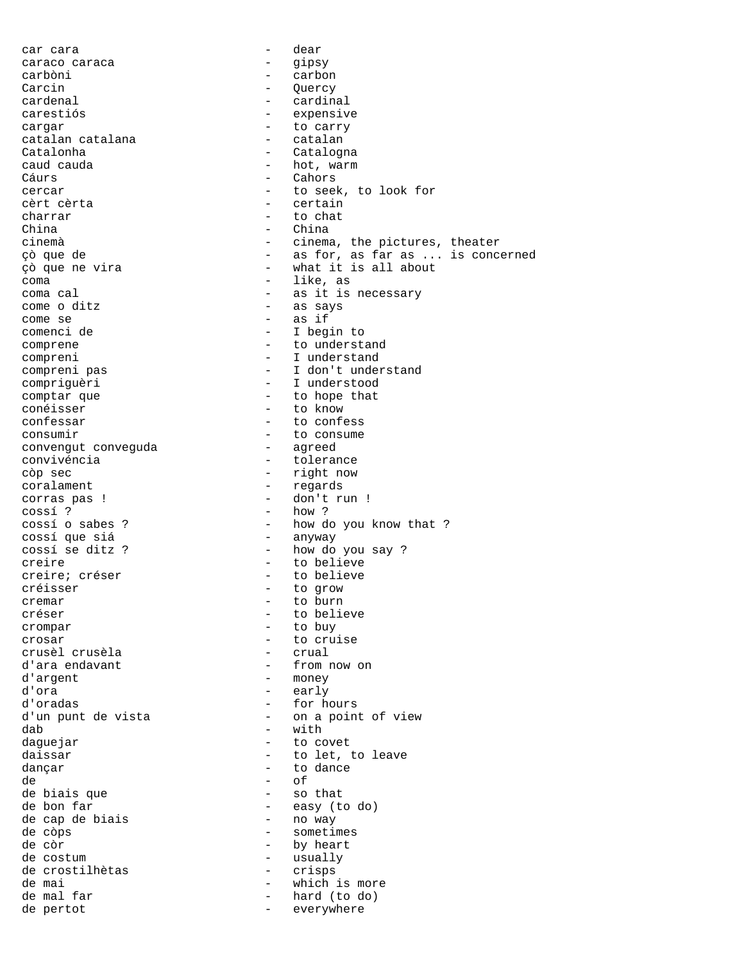car cara - dear caraco caraca - gipsy carbòni - carbon Carcin - Quercy cardenal  $-$  cardinal carestiós - expensive cargar - to carry catalan catalana<br>Catalonha - Catalogna caud cauda  $\qquad \qquad \qquad -$  hot, warm Cáurs - Cahors cercar - to seek, to look for cèrt cèrta - certain charrar - to chat China - China cinemà - cinema, the pictures, theater çò que de  $\begin{array}{ccc}\n\circ & - & \circ & \circ \\
\circ & \circ & \circ & \circ\n\end{array}$  as for, as far as ... is concerned  $\circ$ - what it is all about coma - like, as - as it is necessary come o ditz - as says come se  $-$  as if<br>comencide  $-$  I beg: - I begin to comprene  $-$  to understand compreni - I understand compreni pas - I don't understand compriguèri - I understood comptar que  $-$  to hope that conéisser - to know confessar - to confessar<br>
consumir - to consume - to consume<br>- agreed convengut conveguda convivéncia  $\overline{c}$  - tolerance<br>  $\overline{c}$  - tolerance<br>  $\overline{c}$  - right now - right now coralament - regards corras pas ! - don't run !<br>
cossí ? - how ?  $\cos s$ í ?  $\cos s$ í 2 - how ?  $\cos s$ í 0 sabes ? - how d - how do you know that ?<br>- anyway cossí que siá cossí se ditz ? - how do you say ? creire  $\overline{c}$  - to believe<br>
creire; créser - to believe - to believe créisser - to grow - to burn créser  $-$  to believe crompar - to buy crosar - to cruise crusèl crusèla d'ara endavant  $\qquad \qquad -$  from now on d'argent - money d'ora - early d'oradas <br/> - for hours d'un punt de vista  $-$  on a point of view dab - with daguejar  $-$  to covet daissar  $\overline{\phantom{a}}$  - to let, to leave dançar dançar based e de la contrada dançar dançar dançar dançar dançar dançar dançar dançar dançar dançar da de - of de biais que de bon far<br>de cap de biais - easy (to do)<br>- no way de cap de biais de còps  $\overline{\phantom{a}}$  - sometimes de còr  $-$  by heart de costum - usually de crostilhètas - crisps de mai - which is more - hard (to do) de pertot  $-$  everywhere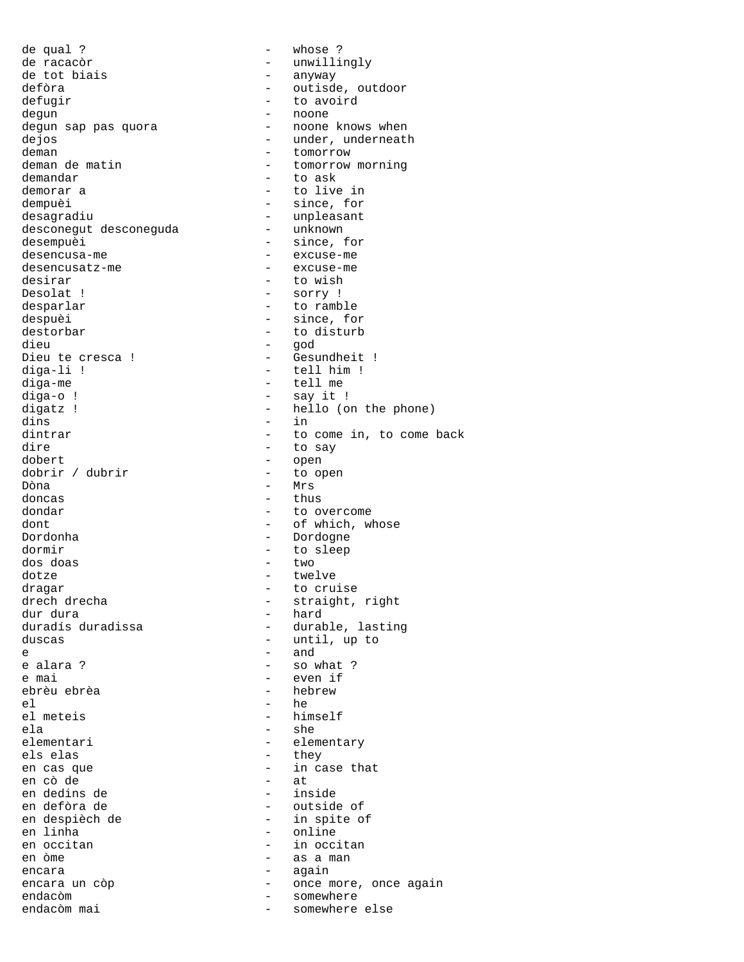de qual ? - whose ? de racacòr - unwillingly de tot biais  $\begin{array}{ccc} - & \text{anyway} \\ - & \text{outisd} \end{array}$ - outisde, outdoor defugir  $-$  to avoird degun - noone degun sap pas quora dejos - under, underneath deman de matin  $\frac{1}{2}$  - tomorrow deman de matin  $\frac{1}{2}$  - tomorrow - tomorrow morning demandar  $-$  to ask demorar a  $-$  to live in dempuèi - since, for desagradiu<br>desconegut desconeguda - unknown<br>- unknown desconegut desconeguda desempuèi  $-$  since, for desencusa-me - excuse-me desencusatz-me - excuse-me desirar - to wish<br>Desolat ! - sorry ! - sorry ! desparlar  $-$  to ramble despuèi  $-$  since, for destorbar - to disturb<br>dieu - qod dieu - god Dieu te cresca ! - Gesundheit !<br>diga-li ! - tell him ! - tell him ! diga-me - tell me - say it ! digatz ! - hello (on the phone) dins - in dintrar  $\qquad \qquad -$  to come in, to come back<br>dire  $\qquad \qquad -$  to sav dire to say<br>dobert - to say<br>- open - open<br>- to open dobrir / dubrir Dòna - Mrs  $-$  thus dondar - to overcome dont  $-$  of which, whose Dordonha - Dordogne dormir - to sleep<br>dos doas - two - two dos doas dotze - twelve dragar - to cruise<br>drech drecha - to cruise<br>- straight, drech drecha - straight, right<br>dur dura - hard - hard dur dura - hard duradís duradissa  $\begin{array}{ccc} - &$  durable, lasting<br>duscas  $\begin{array}{ccc} - &$  until, up to - until, up to e  $-$  and  $-$  and  $$ e alara ?  $-$  so what ? e mai - even if ebrèu ebrèa - hebrew el - he - himself ela - she<br>elementari - she<br>- elem - elementary els elas - they - in case that<br>- at en cò de - at en dedins de<br>en defòra de en defòra de - outside of en despièch de  $\begin{array}{ccc} - & \text{in spite of} \\ - & \text{online} \end{array}$ - online en occitan  $-$  in occitan en òme - as a man encara - again encara un còp  $\qquad \qquad$  - once more, once again endacòm mai endacòm mai endacòm mai entre somewhere somewhere else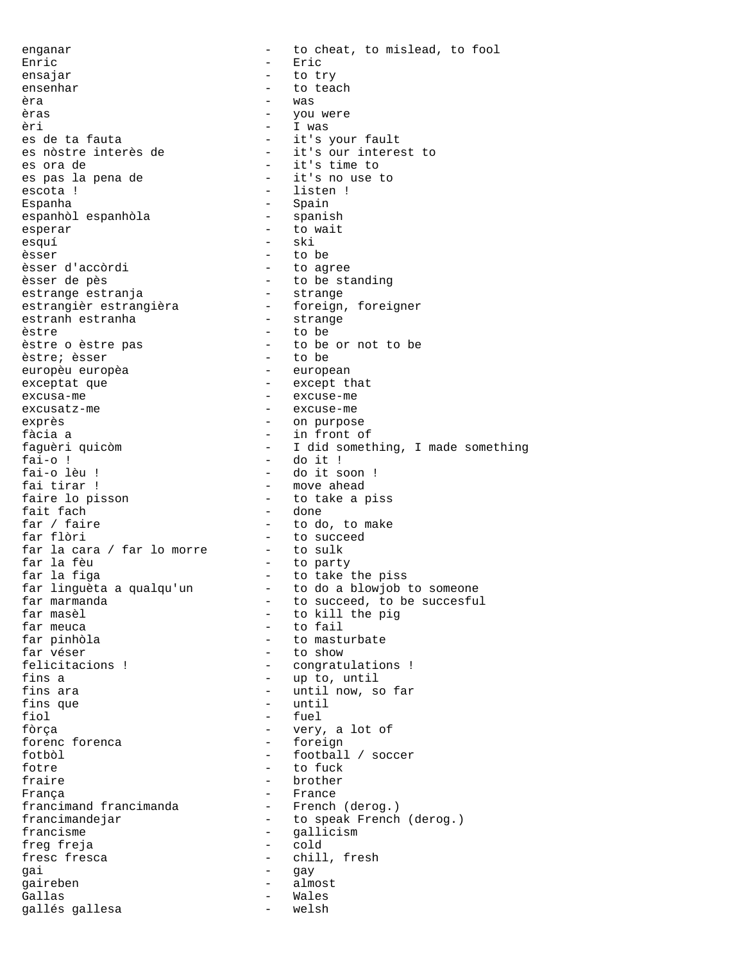enganar - to cheat, to mislead, to fool Enric - Eric ensajar - to try ensenhar - to teach<br>èra - to teach<br>- was èra - was èras  $-$  you were èri - I was es de ta fauta - it's your fault - it's our interest to es ora de  $-$  it's time to es pas la pena de  $-$  it's no use to escota ! - listen ! Espanha - Spain espanhòl espanhòla esperar - to wait esquí - ski èsser - to be èsser d'accòrdi - to agree èsser de pès - to be standing estrange estranja - strange estrangièr estrangièra - foreign, foreigner estranh estranha - strange èstre - to be <sup>-</sup> to be or not to be<br>- to be èstre; èsser - to be europèu europèa exceptat que  $\qquad \qquad -$  except that excusa-me  $\overline{\phantom{a}}$  excuse-me excusatz-me  $\qquad$  - excuse-me exprès  $\qquad \qquad \qquad -$  on purpose fàcia a - in front of faguèri quicòm - I did something, I made something fai-o ! <sup>-</sup> do it ! - do it ! fai-o lèu ! - do it s fai-o lèu ! - do it soon !<br>fai tirar ! - - - - - - - - - - move ahead fai tirar ! - move ahead - to take a piss fait fach<br>far / faire  $f$  - done - to do, to make far flòri  $-$  to succeed far la cara / far lo morre - to sulk far la fèu - to party far la fèu<br>far la figa - to take the piss<br>far linguèta a qualqu'un - to do a blowjob to someone far linguèta a qualqu'un<br>far marmanda far marmanda  $\overline{\phantom{a}}$   $\overline{\phantom{a}}$   $\overline{\phantom{a}}$  to succeed, to be succesful<br>far masèl  $\overline{\phantom{a}}$   $\overline{\phantom{a}}$  to kill the pig far masèl<br>
far meuca<br>  $f$  to fail<br>  $f$  to fail far meuca  $-$  to fail<br>far pinhòla  $-$  to mast far pinhòla  $\begin{array}{ccc} - & + \text{to} & \text{masturbate} \\ \text{far véser} & - & \text{to show} \end{array}$ - to show felicitacions ! - congratulations !<br>fins a - up to until - up to, until fins ara  $-$  until now, so far fins que  $-$  until fiol  $-$  fuel fòrça - very, a lot of forenc forenca fotbòl - football / soccer fotre - to fuck - brother França<br>francimand francimanda<br>- French (derog.) francimand francimanda<br>francimandejar - to speak French (derog.) francisme - gallicism<br>freq freia - cold freg freja fresc fresca <br/> - chill, fresh gai - gay gaireben - almost Gallas gallés gallesa - welsh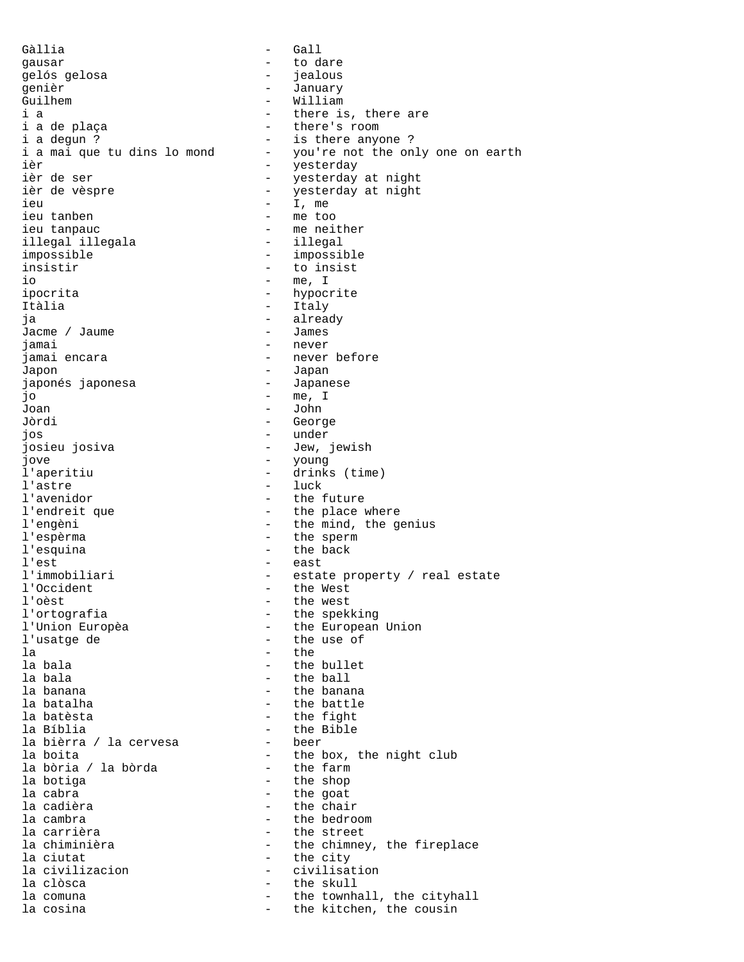Gàllia - Gall gausar - to dare gelós gelosa - jealous genièr  $-$  January Guilhem - William - William<br>i a - there is i a - there is, there are - there's room i a degun ? - is there anyone ?<br>i a mai que tu dins lo mond - you're not the on - you're not the only one on earth ièr  $-$  yesterday ièr de ser  $-$  yesterday at night ièr de vèspre  $-$  yesterday at night ieu - I, me ieu tanben - me too ieu tanpauc<br>illegal illegala - me neither<br>- illegal - illegal illegal illegala impossible - impossible insistir - to insist io - me, I ipocrita - hypocrite Itàlia - Italy ja - already Jacme / Jaume jamai - never jamai encara  $\qquad -$  never before Japon<br>japonés japonesa Japanese japonés japonesa jo - me, I Joan - John Jòrdi - George jos - under - Jew, jewish jove - young - young - young - young - young - young - young - young - young - young - young - young - young - young - young - young - young - young - young - young - young - young - young - young - young - young - young -- drinks (time) l'astre - luck l'avenidor<br>l'endreit que de l'endreit que les les places de la place de la place de la place de la place de la place de l<br>le place de la place de la place de la place de la place de la place de la place de la place de la p l'endreit que  $\qquad \qquad -$  the place where <br>l'engèni  $\qquad \qquad -$  the mind, the go - the mind, the genius l'espèrma - the sperm l'esquina - the back l'est - east<br>l'immobiliari - estat - estate property / real estate<br>- the West l'Occident<br>l'oèst l'oèst<br>1'ortografia - the west<br>2011 - the speking l'ortografia<br>1'Union Europèa - the European<br>- the European l'Union Europèa - the European Union<br>l'usatge de - the use of - the use of la - the la bala  $\qquad \qquad -$  the bullet la bala - the ball la banana  $\qquad \qquad$  - the banana la batalha  $-$  the battle la batèsta  $-$  the fight la Bíblia - the Bible la bièrra / la cervesa la boita - the box, the night club la bòria / la bòrda<br>la botiga la botiga  $\begin{array}{ccc} & - & \text{the shop} \\ \text{la cabra} & - & \text{the qoat} \end{array}$ - the goat la cadièra  $-$  the chair la cambra - the bedroom la carrièra  $-$  the street la chiminièra  $\qquad \qquad -$  the chimney, the fireplace la ciutat<br>la civilizacion - The city<br>divilisation - civilisation la civilizacion chief chief chief chief chief chief chief chief chief chief chief chief chief chief chief chief la clòsca - the skull la comuna  $\qquad \qquad -$  the townhall, the cityhall la cosina  $\qquad \qquad \qquad -$  the kitchen, the cousin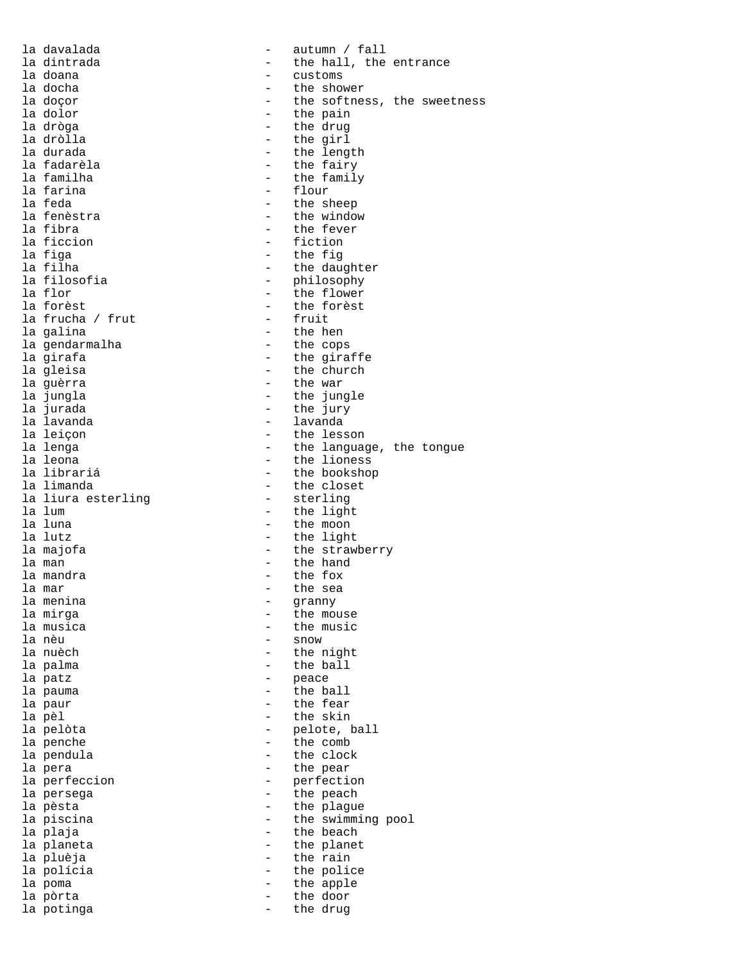| la davalada        |                          | autumn / fall               |
|--------------------|--------------------------|-----------------------------|
| la dintrada        |                          | the hall, the entrance      |
| la doana           |                          | customs                     |
| la docha           |                          | the shower                  |
| la doçor           |                          | the softness, the sweetness |
| la dolor           | $\overline{\phantom{0}}$ | the pain                    |
| la dròga           |                          | the drug                    |
| la dròlla          | $\overline{\phantom{0}}$ | the girl                    |
| la durada          |                          | the length                  |
| la fadarèla        | $\overline{\phantom{0}}$ | the fairy                   |
| la familha         |                          | the family                  |
| la farina          | $\overline{\phantom{0}}$ | flour                       |
| la feda            |                          | the sheep                   |
| la fenèstra        | $\overline{\phantom{0}}$ | the window                  |
| la fibra           |                          | the fever                   |
| la ficcion         | $\overline{\phantom{0}}$ | fiction                     |
| la figa            |                          | the fig                     |
| la filha           |                          | the daughter                |
| la filosofia       | $\qquad \qquad -$        | philosophy                  |
| la flor            |                          | the flower                  |
|                    |                          | the forèst                  |
| la forèst          |                          |                             |
| la frucha / frut   |                          | fruit                       |
| la galina          |                          | the hen                     |
| la qendarmalha     |                          | the cops                    |
| la girafa          |                          | the giraffe                 |
| la gleisa          |                          | the church                  |
| la quèrra          | $\overline{\phantom{0}}$ | the war                     |
| la jungla          |                          | the jungle                  |
| la jurada          |                          | the jury                    |
| la lavanda         |                          | lavanda                     |
| la leiçon          | $\qquad \qquad$          | the lesson                  |
| la lenga           |                          | the language, the tongue    |
| la leona           | $\overline{\phantom{0}}$ | the lioness                 |
| la librariá        |                          | the bookshop                |
| la limanda         | $\overline{\phantom{0}}$ | the closet                  |
| la liura esterling |                          | sterling                    |
| la lum             | $\overline{\phantom{0}}$ | the light                   |
| la luna            |                          |                             |
|                    |                          | the moon                    |
| la lutz            | $\qquad \qquad -$        | the light                   |
| la majofa          | $\overline{\phantom{0}}$ | the strawberry              |
| la man             | $\overline{\phantom{0}}$ | the hand                    |
| la mandra          |                          | the fox                     |
| la mar             |                          | the sea                     |
| la menina          |                          | granny                      |
| la mirga           |                          | the mouse                   |
| la musica          |                          | the music                   |
| la nèu             |                          | snow                        |
| la nuèch           |                          | the night                   |
| la palma           |                          | the ball                    |
| la patz            |                          | peace                       |
| la pauma           |                          | the ball                    |
| la paur            |                          | the fear                    |
| la pèl             |                          | the skin                    |
| la pelòta          |                          | pelote, ball                |
| la penche          |                          | the comb                    |
| la pendula         |                          | the clock                   |
|                    |                          |                             |
| la pera            |                          | the pear                    |
| la perfeccion      |                          | perfection                  |
| la persega         |                          | the peach                   |
| la pèsta           |                          | the plague                  |
| la piscina         |                          | the swimming pool           |
| la plaja           |                          | the beach                   |
| la planeta         |                          | the planet                  |
| la pluèja          | $\overline{\phantom{0}}$ | the rain                    |
| la polícia         |                          | the police                  |
| la poma            |                          | the apple                   |
| la pòrta           |                          | the door                    |
| la potinga         |                          | the drug                    |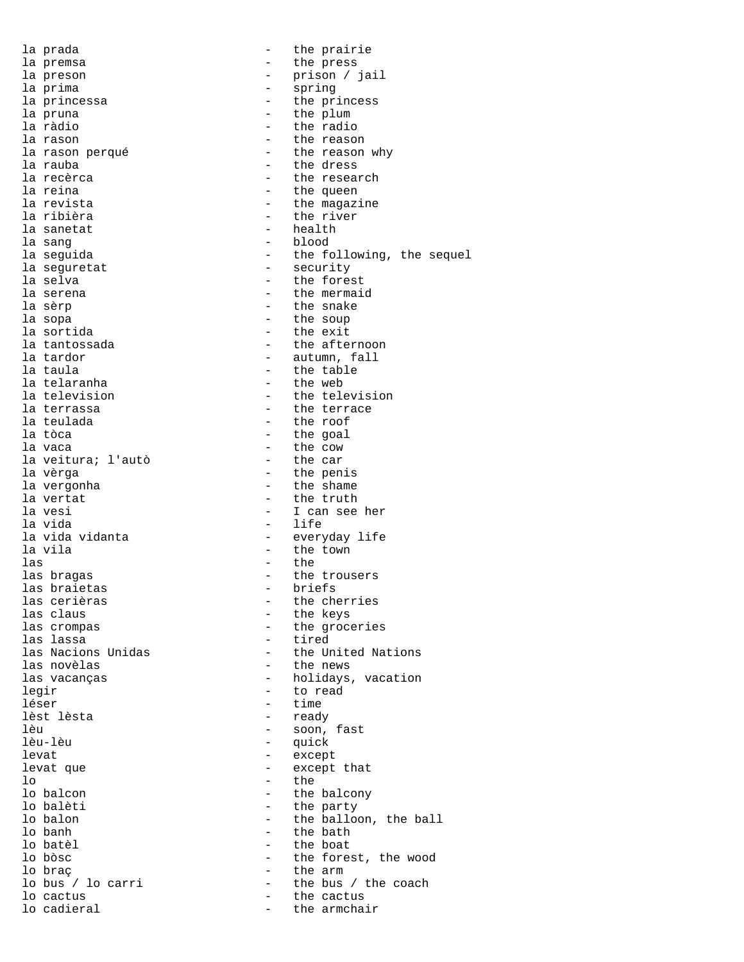la prada  $-$  the prairie la premsa  $-$  the press la preson - prison / jail la prima - spring la princessa<br>la princessa - the princess<br>la pruna - the plum la pruna  $\qquad \qquad -$  the plum  $\qquad \qquad -$  the plum  $\qquad \qquad -$  the radio la ràdio - the radio la rason<br>la rason perqué de la contrata de la reason<br>de la rason perqué de la contrata de la reason<br>de la reason - the reason why la rauba <sup>-</sup>  $\frac{1}{2}$  - the dress<br>la recèrca  $\frac{1}{2}$  - the resear la recèrca  $\begin{array}{ccc} 1 & - & \text{the research} \\ 1 & - & \text{the queen} \end{array}$ la reina  $\begin{array}{ccc} & - & \text{the queen} \\ \text{la revista} & - & \text{the mean} \end{array}$ - the magazine la ribièra  $-$  the river la sanetat  $-$  health la sang  $\qquad \qquad -$  blood la seguida - the following, the sequel la seguretat - security la selva<br>la serena - the forest<br>la serena - the mermai la serena  $\begin{array}{ccc} - & + \text{ the mermaid} \\ - & \text{ the snake} \end{array}$ la sèrp - the snake - the soup la sortida<br>la tantossada - the afte: la tantossada - the afternoon<br>la tardor - the altumn, fall la tardor  $\begin{array}{ccc} \n\text{1a taudor} \\
\text{2a taula} \\
\text{3a taula} \\
\end{array}$  - autumn, fall - the table la telaranha  $-$  the web la television - the television la terrassa - the terrace la teulada - the roof la tòca - the goal - the cow<br>- the car la veitura; l'autò<br>la vèrga la vèrga - the penis la vergonha  $\qquad \qquad$  - the shame  $\qquad$  the truth la vertat  $\begin{array}{ccc} & - & \text{the truth} \\ \text{la } & - & \text{I can see} \end{array}$ la vesi  $\begin{array}{ccc} - & 1 & \text{can see her} \\ - & 1 & \text{can see her} \end{array}$ - life la vida vidanta  $-$  everyday life la vila - the town - the town las - the - the trousers las braietas - briefs las cerièras - the cherries las claus  $\qquad \qquad -$  the keys<br>las crompas  $\qquad \qquad -$  the groce las crompas  $\qquad \qquad \qquad -$  the groceries<br>las lassa  $\qquad \qquad -$  tired las lassa - tired - the United Nations las novèlas  $\qquad \qquad \qquad$  - the news  $\qquad \qquad \qquad$  the news  $\qquad \qquad \qquad$  - holidays, - holidays, vacation legir  $-$  to read léser - time lèst lèsta - ready lèu - soon, fast - quick levat - except - except that lo - the lo balcon  $\qquad$  - the balcony<br>lo balèti  $\qquad$ - the party lo balèti  $\qquad \qquad -$  the party<br>lo balon  $\qquad \qquad -$  the ballow lo balon - the balloon, the ball<br>lo banh - the bath<br>- the bath lo banh  $\qquad$  - the bath  $\qquad$  - the bath  $\qquad$  - the boat - the boat lo bòsc - the forest, the wood lo braç - the arm lo bus / lo carri - the bus / the coach<br>lo cactus - the cactus lo cactus  $\qquad \qquad \qquad -$  the cactus  $\qquad \qquad -$  the cactus  $\qquad \qquad -$  the armchai - the armchair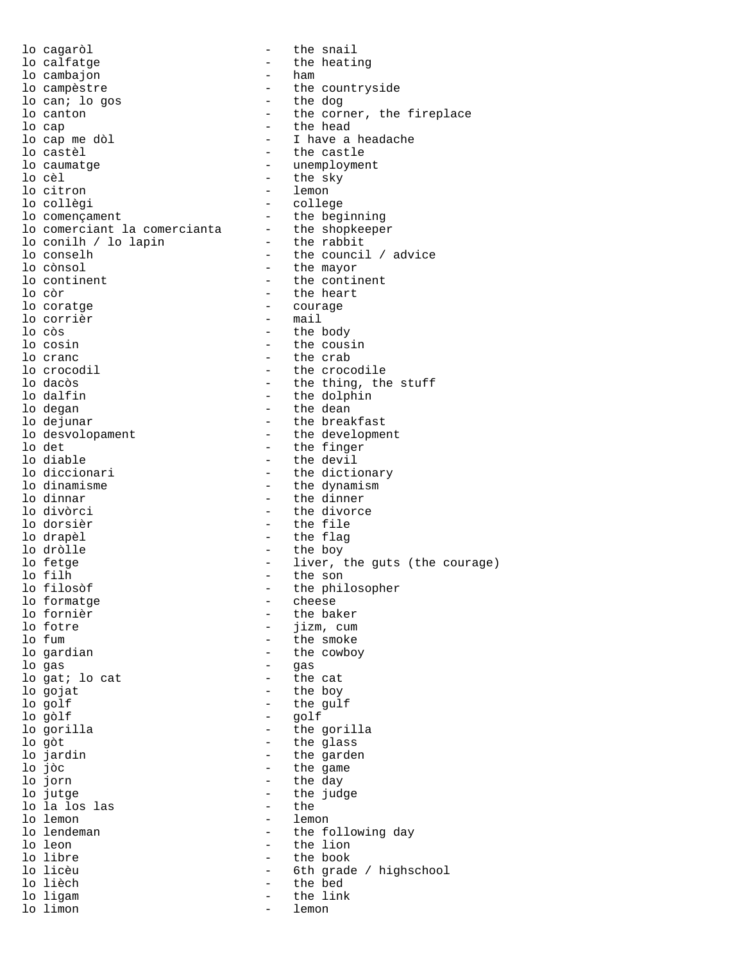lo cagaròl  $-$  the snail lo calfatge - the heating lo cambajon lo campèstre  $\qquad \qquad \text{the count}$ rside lo can; lo gos<br>lo canton lo canton and the corner, the fireplace lo cap - the head lo cap me dòl - I have a headache - the castle lo caumatge  $\qquad \qquad -$  unemployment lo cèl  $\overline{\phantom{a}}$  - the sky<br>lo citron  $\overline{\phantom{a}}$  - lemon lo citron - lemon - college<br>- the beginning lo començament  $-$  the beginning lo comerciant la comercianta - the shopkeeper lo conilh / lo lapin the rabbit lo conselh - the council / advice lo conselh - the council / advice<br>
lo cònsol - the mayor<br>
lo continent - the continent<br>
- the continent lo continent  $\begin{array}{ccc} - & + \text{ the continent} \\ - & \text{ the heart} \end{array}$ lo còr - the heart lo coratge  $\qquad \qquad -$  courage  $\qquad \qquad -$  courage  $\qquad \qquad -$  mail - mail lo còs - the body lo cosin - the cousin - the crab lo crocodil and the crocodile the crocodile lo dacòs ann ann ann an the thing, the stuff lo dalfin - the dolphin lo degan - the dean lo dejunar - the breakfast<br>lo desvolopament - the developme lo desvolopament<br>lo det development<br>lo det development<br>det designation of the finger lo det  $-$  the finger lo diable  $\qquad \qquad$  - the devil lo diccionari  $-$  the dictionary<br>lo dinamisme  $-$  the dynamism lo dinamisme<br>
lo dinnar
–
the dynamism<br>
–
the dinner
–
the dinner
–
the dinner
–
the dinner
–
the dinner
–
the dinner
–
the dinner
–
the dinner
–
the dinner
–
the dinner
–
the dinner
–
the dinner
–
the dinner
–
the dinner lo dinnar  $\qquad \qquad -$  the dinner<br>lo divòrci  $\qquad \qquad -$  the divorce lo divòrci - the divorce - the file lo drapèl  $-$  the flag lo dròlle - the boy lo fetge  $-$  liver, the guts (the courage)<br>lo filh  $-$  the son lo filh - the son - the philosopher<br>- cheese lo formatge<br>lo fornièr lo fornièr - the baker lo fotre  $\qquad \qquad -$  jizm, cum<br>lo fum  $\qquad \qquad -$  the smoke - the smoke lo gardian and the cowboy lo gas - gas lo gat; lo cat lo gojat  $\overline{a}$  - the boy lo golf - the gulf lo gòlf - golf lo gorilla - the gorilla lo gòt - the glass lo jardin  $\frac{1}{10}$  - the garden  $\frac{1}{10}$  - the garden  $\frac{1}{10}$  - the game lo jòc<br>lo jorn - the game<br>do jorn - the day lo jorn - the day - the judge<br>- the lo la los las<br>lo lemon lo lemon<br>lo lendeman de lemon<br>de les the formulation of the formulation of the formulation of the formulation of the formulation of the formulation of the formulation of the formulation of the formulation of the formulatio lo lendeman  $\qquad \qquad -$  the following day<br>lo leon  $\qquad \qquad -$  the lion - the lion lo libre - the book lo licèu - 6th grade / highschool<br>lo lièch - the bed lo lièch - the bed - the link<br>- lemon lo limon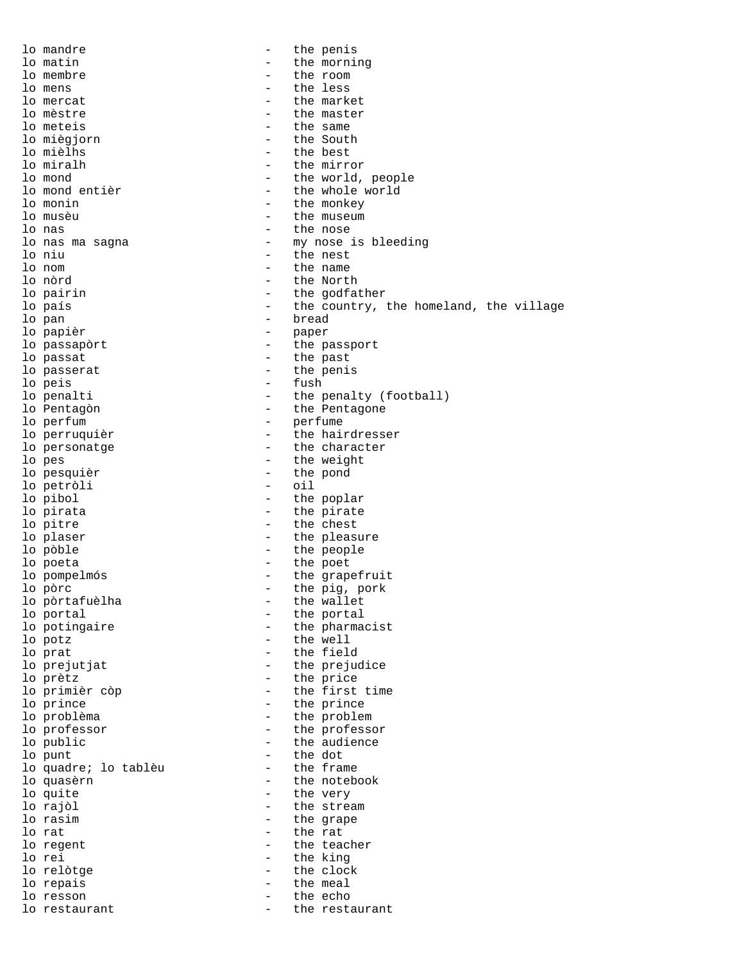lo mandre  $\qquad \qquad$  - the penis lo matin  $\qquad \qquad -$  the morning<br>lo membre  $\qquad \qquad -$  the room - the room lo mens the less lowercat the less of the less of the less of the less of the mark of the mark of the mark of the mark of the mark of the mark of the mark of the mark of the mark of the mark of the mark of the mark of the lo mercat  $\qquad \qquad -$  the market  $\qquad \qquad -$  the market  $\qquad \qquad -$  the master lo mèstre  $\qquad \qquad -$  the master<br>lo meteis  $\qquad \qquad -$  the same - the same<br>- the South lo miègjorn<br>lo mièlhs lo mièlhs<br>lo miralh de la comme de la comme de la comme de la comme de la comme de la comme de la comme de la comme de l<br>lo miralh de la comme de la comme de la comme de la comme de la comme de la comme de la comme de la c lo miralh  $\qquad \qquad -$  the mirror<br>lo mond  $\qquad \qquad -$  the world. lo mond<br>
lo mond entièr<br>
- the whole world<br>
- the whole world lo mond entièr<br>
lo monin<br>  $\frac{1}{2}$  - the monkey - the monkey lo musèu - the museum lo nas  $\begin{array}{ccc} - & \text{the nose} \\ - & \text{my nose} \end{array}$ - my nose is bleeding lo niu  $\overline{\phantom{a}}$  - the nest<br>lo nom - the name lo nom - the name lo nòrd - the North lo pairin  $\begin{array}{ccc} - & \text{the godfather} \\ - & \text{the countery,} \end{array}$ lo país  $-$  the country, the homeland, the village lo pan - bread lo papièr  $-$  paper lo passapòrt  $\overline{\phantom{a}}$  - the passport lo passat  $\overline{\phantom{a}}$  - the past lo passerat  $\qquad \qquad$  - the penis lo peis  $-$  fush lo penalti - the penalty (football) lo Pentagòn de l'anno 1988 - the Pentagone lo perfum  $-$  perfume lo perruquièr  $\overline{\phantom{a}}$  - the hairdresser lo personatge  $\overline{\phantom{a}}$  - the character lo pes - the weight<br>
lo pesquièr<br>
- the pond - the pond<br>- oil lo petròli lo pibol  $-$  the poplar lo pirata  $\overline{a}$  - the pirate lo pitre  $\qquad \qquad -$  the chest lo plaser  $-$  the pleasure lo pòble  $\qquad \qquad$  - the people lo poeta  $\overline{\phantom{a}}$  - the poet lo pompelmós  $-$  the grapefruit lo pòrc - the pig, pork lo pòrtafuèlha - the wallet lo portal  $\qquad \qquad -$  the portal<br>lo potingaire  $\qquad \qquad -$  the pharma lo potingaire  $\begin{array}{ccc} - & + \text{ the } \text{ } \text{pharmacist} \\ \text{lo } \text{ } \text{potz} \end{array}$ - the well lo prat  $-$  the field lo prejutjat  $\overline{\phantom{a}}$  - the prejudice lo prètz  $\overline{a}$  - the price lo primièr còp  $-$  the first time lo prince  $\overline{\phantom{a}}$  - the prince lo problèma - the problem lo professor  $-$  the professor lo public  $\qquad \qquad -$  the audience lo punt - the dot lo quadre; lo tablèu<br>lo quasèrn lo quasèrn - the notebook lo quite  $\begin{array}{ccc} - & + \text{the very} \\ - & \text{the string} \end{array}$ lo rajòl - the stream lo rasim  $\qquad \qquad -$  the grape<br>lo rat  $\qquad \qquad -$  the rat - the rat lo regent  $-$  the teacher lo rei - the king lo relòtge  $-$  the clock lo repais  $-$  the meal lo resson - the echo lo restaurant  $\qquad \qquad -$  the restaurant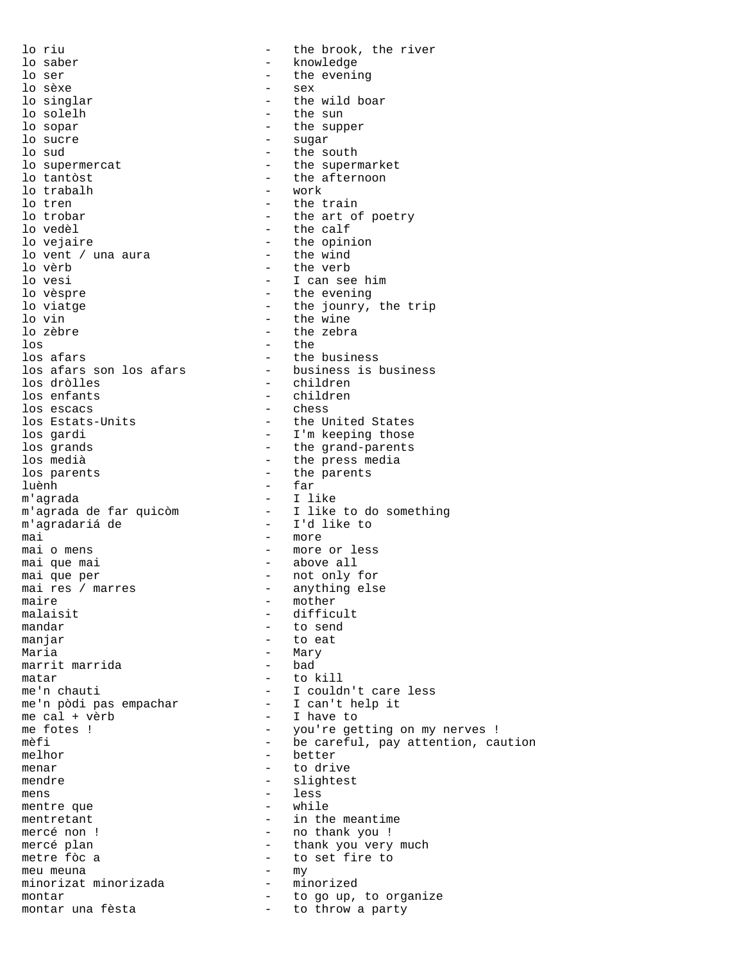lo riu  $-$  the brook, the river lo saber - knowledge lo ser  $\qquad$  - the evening  $\qquad$  - sex  $\qquad$  - sex  $\qquad$ lo sèxe - sex the wild boar lo solelh - the sun lo sopar  $\qquad$  - the supper  $\qquad$  - sugar  $\qquad$  - sugar  $\qquad$ lo sucre - sugar lo sud - the south - the south - the supernercat - the supern - the supermarket lo tantòst  $\begin{array}{ccc} - & \text{the afternoon} \\ - & \text{work} \end{array}$ lo trabalh<br>lo tren - the train lo trobar  $-$  the art of poetry lo vedèl<br>lo vejaire de la comme de la comme de la comme de la comme de la comme de la comme de la comme de la comme<br>de la comme de la comme de la comme de la comme de la comme de la comme de la comme de la comme de la comm - the opinion<br>- the wind lo vent / una aura<br>lo vèrb lo vèrb - the verb lo vesi entries and the set of the version of the version of the version of the version of the version of the v<br>
and the evening lo vèspre - the evening lo viatge  $\begin{array}{ccc} - & \text{the journey, the trip} \\ - & \text{the wine} \end{array}$ lo vin The wine<br>
lo zèbre  $\overline{a}$  - the zebra lo zèbre  $\overline{ }$  - the zebra  $\overline{ }$  $-$  the los afars - the business - business is business los dròlles - children - children los escacs - chess - the United States los gardi - I'm keeping those los grands<br>
los medià<br>
los medià<br>
- the press media los medià  $\begin{array}{ccc} - & \text{the press media} \\ \text{los parents} & - & \text{the parents} \end{array}$ - the parents luènh - far m'agrada - I like - I like to do something m'agradariá de <sup>-</sup> T'd like to mai  $-$  more mai o mens  $-$  more or less mai que mai  $-$  above all mai que per  $-$  not only f mai que per  $-$  not only for mai res / marres anything else maire - mother<br>malaisit - diffici malaisit - difficult<br>mandar - b send - to send manjar - to eat Maria - Mary<br>marrit marrida - bad - bad marrit marrida matar  $-$  to kill me'n chauti  $-$  I couldn't care less me'n pòdi pas empachar - I can't help it me cal + vèrb - I have to me fotes ! - you're getting on my nerves !<br>
meti<br>
- be careful, pay attention, ca - be careful, pay attention, caution melhor - better<br>menar - to driv menar  $-$  to drive mendre - slightest mens - less mentre que mentretant  $-$  in the meantime mercé non ! - no thank you ! mercé plan  $-$  thank you very much metre fòc a  $-$  to set fire to meu meuna - my minorizat minorizada - montar - montar - montar - montar - montar - montar - montar - montar - montar - montar  $$ montar  $-$  to go up, to organize montar una fèsta  $-$  to throw a party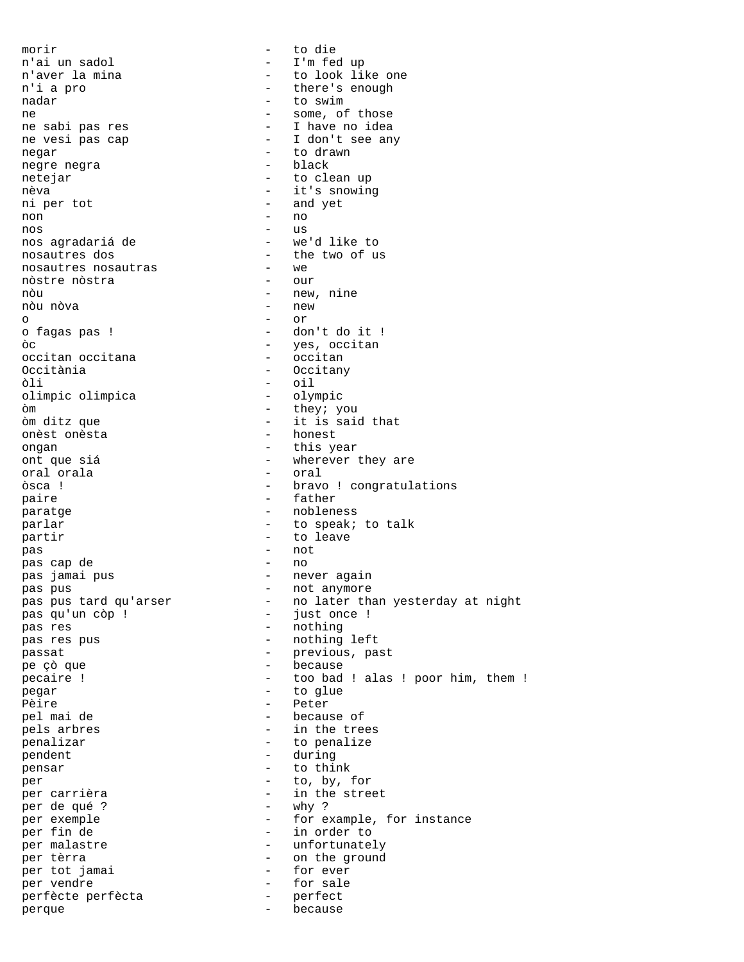morir  $-$  to die n'ai un sadol - I'm fed up - to look like one n'i a pro  $-$  there's enough nadar - to swim ne - some, of those ne sabi pas res entrants and the sabi pas rest and the sabi passes of the sabi passes of the same states of the ne vesi pas cap  $-$  I don't see any negar - to drawn<br>negre negra negre negra netejar - to clean up nèva  $-$  it's snowing ni per tot  $-$  and yet non - no nos en el estado en el estado en el estado en el estado en el estado en el estado en el estado en el estado en<br>En el estado en el estado en el estado en el estado en el estado en el estado en el estado en el estado en el nos agradariá de - we'd like to - the two of us<br>- we nosautres nosautras - we<br>
nòstre nòstra - our nòstre nòstra<br>nòu - new, nine<br>- new nòu nòva o - or - don't do it ! òc  $\overline{)}$  - yes, occitan<br>occitan occitana - occitan - occitan occitan occitana<br>Occitània - Occitany òli - oil olimpic olimpica òm - they; you òm ditz que  $-$  it is said that onèst onèsta onèst onèsta ongan - this year ont que siá  $\begin{array}{ccc} - & \text{wherever they are} \\ - & \text{order} \end{array}$ oral orala òsca ! - congratulations - bravo ! congratulations paire  $\qquad \qquad -$  father paratge - nobleness parlar  $-$  to speak; to talk partir  $\qquad \qquad$  - to leave pas - not pas cap de pas jamai pus - never again pas pus  $\overline{a}$  - not anymore pas pus tard qu'arser  $-$  no later than yesterday at night pas qu'un còp ! - just once ! pas res - nothing - nothing pas res pus entitled by the mothing left passat  $-$  previous, past pe çò que - because pecaire !  $\qquad \qquad -$  too bad ! alas ! poor him, them ! pegar  $-$  to glue Pèire - Peter pel mai de  $-$  because of pels arbres  $-$  in the trees penalizar - to penalize<br>
pendent - during pendent - during<br>nensar - to this pensar - to think per - to, by, for per carrièra  $-$  in the street<br>
per de qué ?  $-$  why ? per de qué ? per exemple  $-$  for example, for instance per fin de  $-$  in order to per malastre  $-$  unfortunately per tèrra  $-$  on the ground<br>per tot jamai  $-$  for ever per tot jamai - for ever per vendre  $\qquad \qquad$  - for sale perfècte perfècta perfècte perfècta - perfect perque - because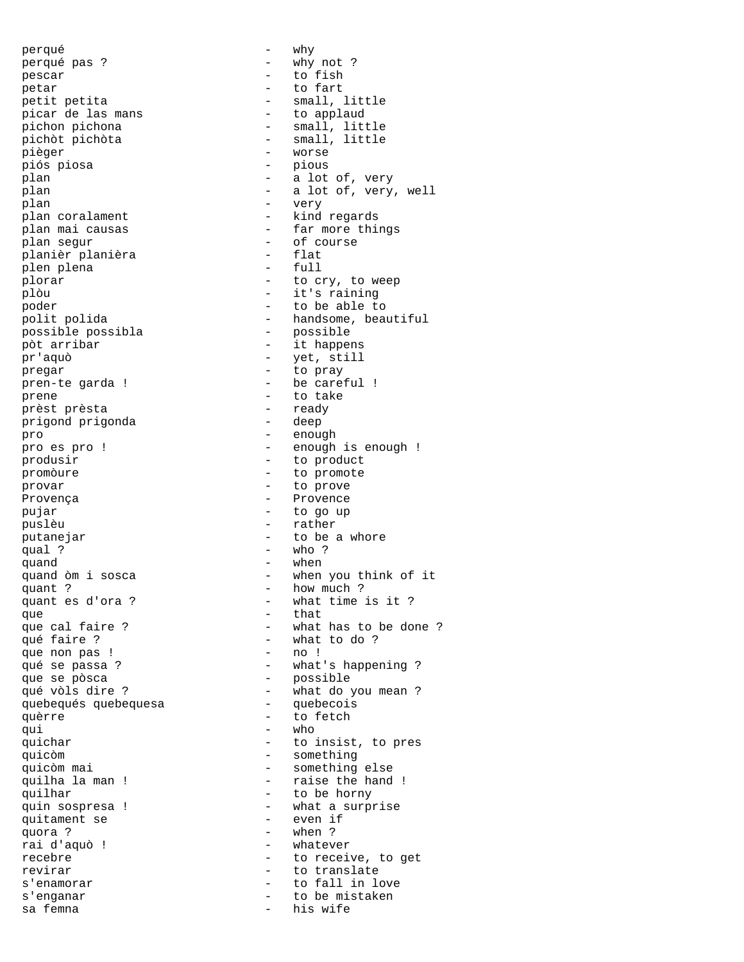perqué - why perqué pas ?  $-$  why not ? pescar  $\overline{\phantom{a}}$  - to fish petar - to fart picar de las mans<br>pichon pichona pichon pichona - small, little<br>pichòt pichòta - small, little pichòt pichòta - small, little<br>pièger - worse piós piosa plan - a lot of, very<br>plan - a lot of, very, plan - very plan coralament  $\qquad -$  kind regards plan segur - of course planièr planièra - flat plen plena plòu - it's raining - to be able to<br>poder - to be able to<br>polit polida - handsome, beam possible possibla -<br>pòt arribar - it happens pr'aquò - yet, still pregar - to pray pren-te garda ! - be careful ! prene - to take prèst prèsta - ready prigond prigonda pro  $\overline{p}$  - enough produsir  $\overline{r}$  - to product promòure - to promote provar - to prove Provença en el estado en el estado en el energia en el estado en el energia en el estado en el estado en el es<br>En el estado en el estado en el estado en el estado en el estado en el estado en el estado en el estado en el e pujar  $-$  to go up puslèu - rather putanejar - to be a whore qual ?  $-$  who ?  $-$  who ? quand  $\frac{1}{2}$  - when quand  $\frac{1}{2}$  sosca  $\frac{1}{2}$  - when quant ?  $\frac{1}{2}$  and  $\frac{1}{2}$  and  $\frac{1}{2}$  and  $\frac{1}{2}$  and  $\frac{1}{2}$  and  $\frac{1}{2}$  and  $\frac{1}{2}$  and  $\frac{1}{2}$  and  $\frac{1}{2}$  and  $\frac{1}{2}$  and  $\frac{1}{2}$  and  $\frac{1}{2}$  and  $\frac{1}{2}$  and  $\frac{1}{2}$  and  $\frac{1}{2}$  and  $\frac{$ que - that que non pas ! que se pòsca<br>qué vòls dire ?<br>quebec quebequés quebequesa quèrre  $\overline{\phantom{a}}$  - to fetch qui - who quicòm - something quicòm mai  $-$  something else quilhar  $-$  to be horny quitament se quora ? - when ? rai d'aquò ! revirar  $-$  to translate s'enganar - to be mistaken sa femna  $-$  his wife

- small, little<br>- to applaud - worse<br>- pious - a lot of, very, well plan mai causas  $\qquad \qquad$  - far more things plorar  $-$  to cry, to weep<br>plòu  $-$  it's raining - handsome, beautiful<br>- possible pro es pro ! - enough is enough ! - when you think of it - what time is it ? que cal faire ? - what has to be done ? - what to do ?<br>- no ! qué se passa ?  $\overline{\phantom{a}}$  - what's happening ?<br>
que se pòsca  $\overline{\phantom{a}}$  - possible - what do you mean ?<br>- quebecois quichar  $-$  to insist, to pres quilha la man ! - raise the hand ! quin sospresa ! - what a surprise<br>
quitament se - even if recebre  $-$  to receive, to get s'enamorar  $-$  to fall in love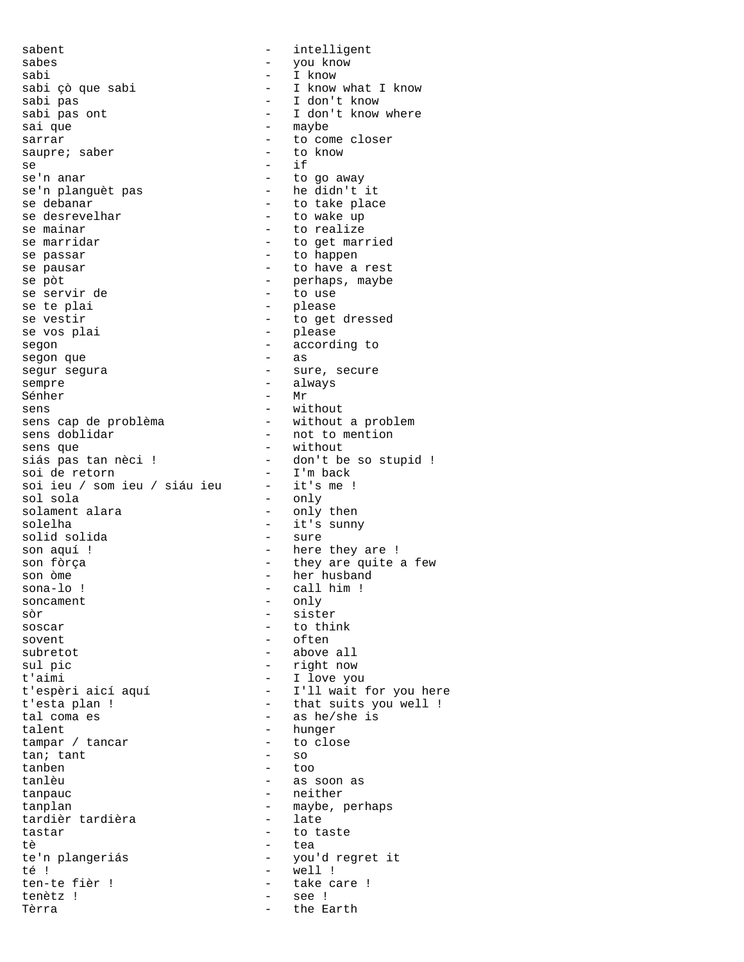sabent - intelligent sabes - you know sabi - I know sabi çò que sabi  $-$  I know what I know sabi pas sabi pas  $-$  I don't know<br>sabi pas ont  $-$  I don't know sabi pas ont  $\begin{array}{ccc} - & I \text{ don't know where} \\ - & \text{maybe} \end{array}$ - maybe sarrar  $\overline{a}$  = to come closer<br>saupre; saber = to know saupre; saber  $se$  - if se'n anar  $-$  to go away<br>se'n planquèt pas  $-$  he didn't it se'n planguèt pas<br>se debanar - to take place se desrevelhar  $-$  to wake up se mainar  $-$  to realize se marridar  $-$  to get married se passar  $-$  to happen se pausar  $-$  to have a rest se pòt - perhaps, maybe se servir de<br>se te plai se te plai de la commune de la commune de la commune de la commune de la commune de la commune de la commune d<br>
Se de la commune de la commune de la commune de la commune de la commune de la commune de la commune de la com - to get dressed se vos plai  $-$  please segon  $\overline{\phantom{a}}$  = according to  $\overline{\phantom{a}}$  = as segon que segur segura - sure, secure sempre - always Sénher – Mr sens<br>sens cap de problèma<br>- without - without - without a problem<br>- not to mention sens doblidar - not to ments are not to ments are not to ments of the sense que sens que  $-$  without siás pas tan nèci ! - don't be so stupid ! soi de retorn - I'm back<br>soi ieu / som ieu / siáu ieu - it's me ! soi ieu / som ieu / siáu ieu<br>sol sola - only<br>- only then solament alara solelha - it's sunny solid solida - it's sunny - it's sunny - it's sunny - it's sunny - it's sunny - it's sunny - it's sunny - it's sunny - it's sunny - it's sunny - it's sunny - it's sunny - it's sunny - it's sunny - it's solid solida son aquí ! - here they are ! son fòrça  $-$  they are quite a few<br>son òme  $-$  her husband son òme - her husband - call him !<br>- only soncament<br>sòr sòr - sister soscar  $-$  to think<br>sovent  $-$  often - often subretot - above all sul pic - right now t'aimi - I love you t'espèri aicí aquí - I'll wait for you here t'esta plan !  $\overline{\phantom{a}}$  - that suits you well ! tal coma es  $-$  as he/she is talent - hunger tampar / tancar - to close tan: tant - so tan; tant tanben - too tanlèu - as soon as tanpauc - neither tanplan - maybe, perhaps<br>tardièrtardièra - late - late tardièr tardièra tastar - to taste tè de la contratte de la contratte de la contratte de la contratte de la contratte de la contratte de la contra te'n plangeriás - you'd regret it té ! - well ! ten-te fièr ! - take care ! tenètz ! - see ! Tèrra  $-$  the Earth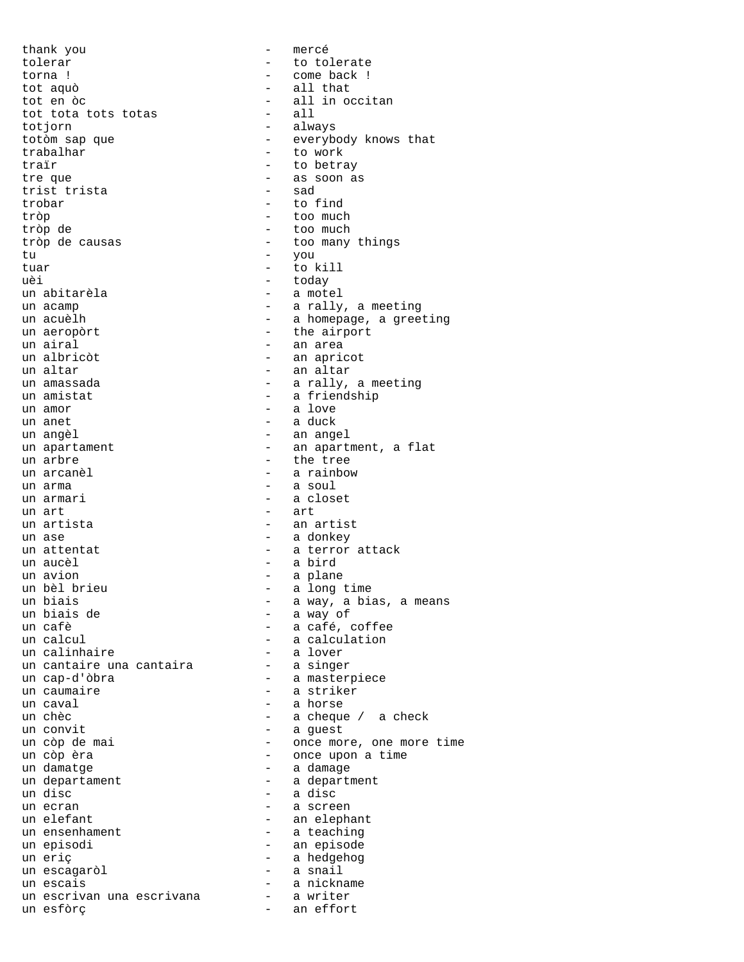thank you - mercé tolerar  $\qquad \qquad$  - to tolerate torna ! - come back ! tot aquò - all that tot tota tots totas totjorn - always totòm sap que  $-$  everybody knows that trabalhar - to work traïr  $-$  to betray tre que  $-$  as soon as<br>
trist trista  $-$  sad trist trista trobar - to find tròp - too much tròp de - too much tròp de causas  $\qquad \qquad -$  too many things tu - you tuar - to kill uèi - today<br>un abitarèla - - a mot un acamp  $-$  a rally, a meeting<br>un acuelh  $-$  a homepage, a gree un aeropòrt  $-$  the airport un airal<br>un albricòt de la component de la componentativa de la componentativa de la componentativa de la componentativ<br>componentativa de la componentativa de la componentativa de la componentativa de la componentativa de un altar  $-$  an altar un amassada  $\qquad \qquad$  - a rally, a meeting un amistat  $-$  a friendship un amor - a love un anet  $-$  a duck un angèl  $-$  an angel un apartament  $\overline{a}$  - an apartment, a flat un arbre - the tree un arma  $-$  a soul un armari  $-$  a closet un art<br>un artista  $\begin{array}{ccc} - & \text{art} \\ - & \text{ant} \end{array}$ un ase  $-$  a donkey un attentat  $\qquad \qquad -$  a terror attack un aucèl - a bird un avion - a plane un bèl brieu  $-$  a long time<br>un biais  $-$  a way, a bia un biais - a way, a bias, a means un biais de - a way of un cafè  $-$  a café, coffee un calculation un calinhaire - a lover un cantaire una cantaira - a singer un cap-d'òbra - a masterpiece un caumaire  $-$  a striker un caval  $\qquad \qquad$  - a horse un chèc  $-$  a cheque / a check<br>un convit  $-$  a guest un còp de mai  $-$  once more, one more time un còp èra  $-$  once upon a time un damatge  $-$  a damage un departament - a department<br>un disc - a disc un ecran  $\overline{\phantom{a}}$  - a screen un elefant  $\qquad \qquad$  - an elephant un ensenhament  $-$  a teaching un episodi - an episode un eriç - a hedgehog un escagaròl - a snail un escais - a nickname un escrivan una escrivana - a writer un esfòrç - an effort

- all in occitan<br>- all - a motel - a homepage, a greeting - an apricot - a rainbow - an artist - a calculation<br>- a lover - a guest - a disc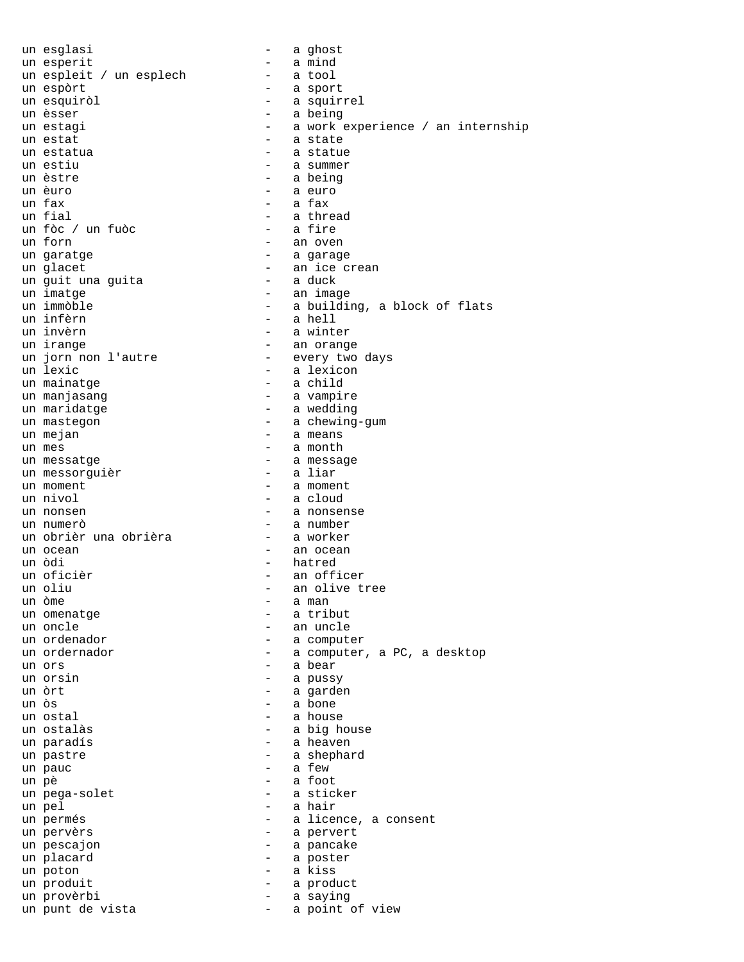un esglasi  $-$  a ghost un esperit - a mind un espleit / un esplech un espòrt  $-$  a sport un esquiròl  $-$  a squirrel un èsser  $-$  a being un estagi  $-$  a work experience / an internship un estat  $\overline{\phantom{a}}$  - a state un estatua  $\qquad \qquad$  - a statue un estiu  $-$  a summer un èstre  $-$  a being un èuro - a euro un fax  $-$  a fax un fial - a thread un fòc / un fuòc<br>un forn - an oven un garatge  $-$  a garage un glacet<br>un quit una guita - an ice crean un guit una guita<br>un imatge un imatge - an image un immòble - a building, a block of flats - a hell un invèrn - a winter un irange - an orange un jorn non l'autre - every two days un lexic - a lexicon un mainatge  $\qquad \qquad$  - a child un manjasang  $\overline{\phantom{a}}$  - a vampire un maridatge  $-$  a wedding un mastegon - a chewing-gum un mejan un mes - a month un messatge - a message un messorguièr un moment  $\overline{\phantom{a}}$  - a moment un nivol - a cloud un nonsen and a nonsense un numerò - a number un obrièr una obrièra un ocean - an ocean - hatred un oficièr  $-$  an officer un oliu  $-$  an olive tree<br>un õme  $-$  a man  $-$  a man - a man un omenatge  $-$  a tribut un oncle  $\overline{\phantom{a}}$  an uncle  $\overline{\phantom{a}}$  an uncle  $\overline{\phantom{a}}$  an uncle  $\overline{\phantom{a}}$  an uncle  $\overline{\phantom{a}}$ - a computer un ordernador en el estrello a computer, a PC, a desktop un ors - a bear - a pussy un òrt  $-$  a garden un òs - a bone - a house un ostalàs  $-$  a big house un paradís - a heaven un pastre  $\qquad \qquad$  - a shephard  $un$  pauc  $-$  a few un pè - a foot un pega-solet - a sticker un pel  $-$  a hair un permés  $\qquad \qquad -$  a licence, a consent un pervèrs  $\overline{\phantom{a}}$  - a pervert un pescajon en el estatunidad en la pancake un placard  $\qquad$  - a poster un poton - a kiss un produit  $\qquad \qquad -$  a product un provèrbi  $-$  a saying un punt de vista  $-$  a point of view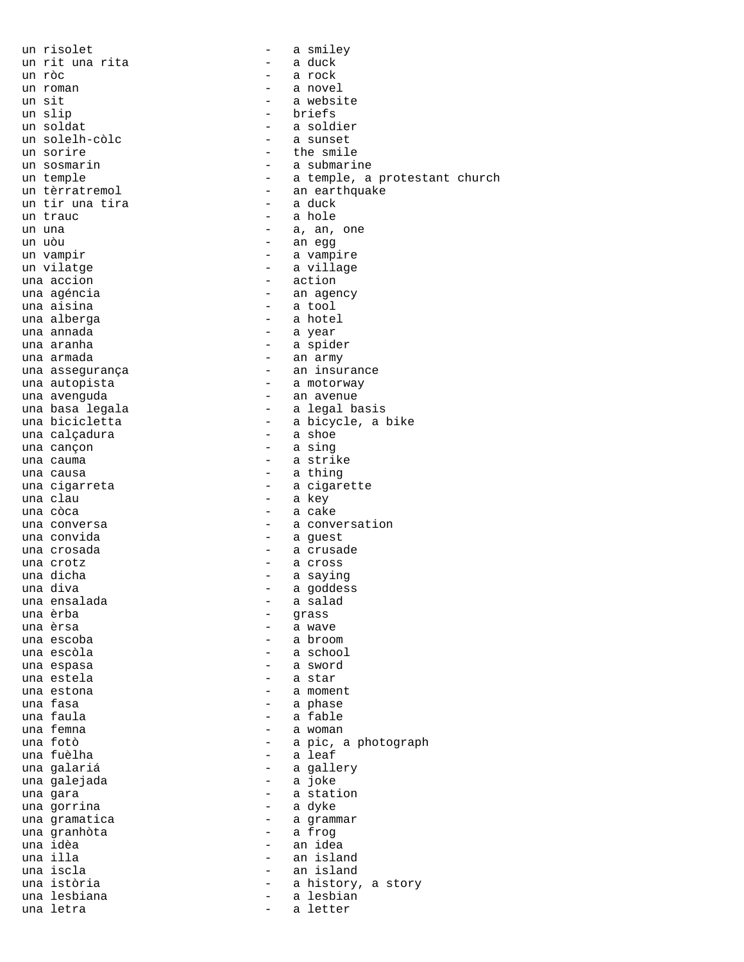un risolet - a smiley un rit una rita un ròc - a rock un roman  $-$  a novel un sit  $-$  a website un slip  $-$  briefs un soldat<br>
un solelh-còlc<br>
- a sunset<br>
- a sunset - a sunset un sorire  $-$  the smile un sosmarin a music e a submarine un temple  $-$  a temple, a protestant church un tèrratremol - an earthquake un tir una tira un trauc  $\qquad \qquad -$  a hole un una  $-$  a, an, one un uòu - an egg un vampir  $-$  a vampire un vilatge  $-$  a village una accion  $\overline{\phantom{a}}$  - action una agéncia  $-$  an agency una aisina  $\overline{\phantom{a}}$  - a tool una alberga - a hotel - a year una aranha  $-$  a spider una armada  $\qquad \qquad$  - an army una assegurança  $\overline{\phantom{0}}$  - an insurance una autopista  $-$  a motorway una avenguda  $\overline{\phantom{a}}$  - an avenue una basa legala  $-$  a legal basis una bicicletta - a bicycle, a bike una calçadura una cançon  $-$  a sing una cauma  $\overline{\phantom{a}}$  - a strike una causa  $\qquad \qquad$  - a thing una cigarreta  $\begin{array}{ccc}\n-\end{array}$  a cigarette una clau - a key una còca a care a cake una conversa  $\qquad \qquad -$  a conversation una convida este este una convida una crosada  $\qquad \qquad \qquad -$  a crusade una crotz  $\qquad \qquad$  - a cross una dicha  $-$  a saying una diva - a goddess una ensalada - a salad una èrba - grass una èrsa - a wave - a broom una escòla  $-$  a school una espasa  $\qquad \qquad \qquad$  - a sword una estela  $\overline{\phantom{a}}$  - a star una estona  $\qquad \qquad \qquad -$  a moment una fasa  $\qquad \qquad \qquad$  - a phase una faula  $\qquad \qquad$  - a fable una femna - a woman una fotò - a pic, a photograph - a leaf una galariá - a gallery una galejada una gara<br>una gorrina - a station<br>- a dyke una gorrina una gramatica  $\overline{a}$  - a grammar una granhòta - a frog una idèa - an idea una illa - an island - an island una istòria  $-$  a history, a story una lesbiana  $-$  a lesbian una letra  $\qquad \qquad -$  a letter